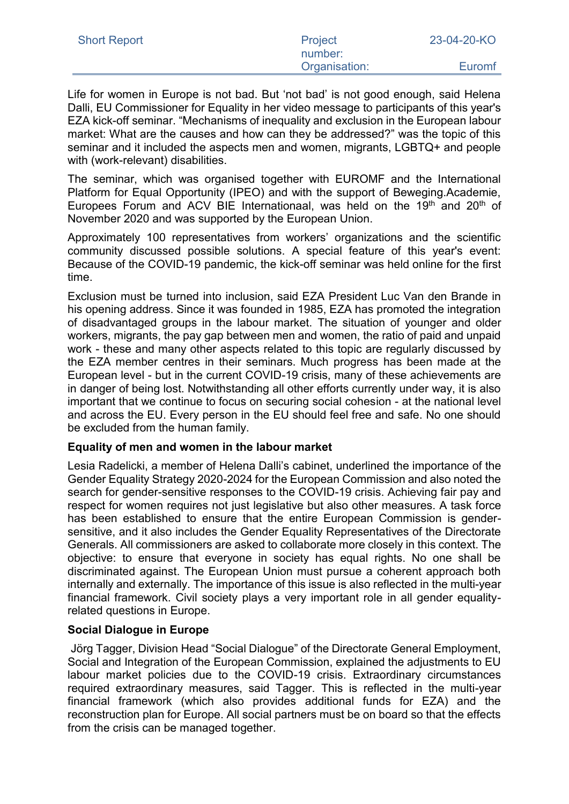| <b>Short Report</b> | Project       | 23-04-20-KO |
|---------------------|---------------|-------------|
|                     | number:       |             |
|                     | Organisation: | Euromf      |

Life for women in Europe is not bad. But 'not bad' is not good enough, said Helena Dalli, EU Commissioner for Equality in her video message to participants of this year's EZA kick-off seminar. "Mechanisms of inequality and exclusion in the European labour market: What are the causes and how can they be addressed?" was the topic of this seminar and it included the aspects men and women, migrants, LGBTQ+ and people with (work-relevant) disabilities.

The seminar, which was organised together with EUROMF and the International Platform for Equal Opportunity (IPEO) and with the support of Beweging.Academie, Europees Forum and ACV BIE Internationaal, was held on the 19th and 20th of November 2020 and was supported by the European Union.

Approximately 100 representatives from workers' organizations and the scientific community discussed possible solutions. A special feature of this year's event: Because of the COVID-19 pandemic, the kick-off seminar was held online for the first time.

Exclusion must be turned into inclusion, said EZA President Luc Van den Brande in his opening address. Since it was founded in 1985, EZA has promoted the integration of disadvantaged groups in the labour market. The situation of younger and older workers, migrants, the pay gap between men and women, the ratio of paid and unpaid work - these and many other aspects related to this topic are regularly discussed by the EZA member centres in their seminars. Much progress has been made at the European level - but in the current COVID-19 crisis, many of these achievements are in danger of being lost. Notwithstanding all other efforts currently under way, it is also important that we continue to focus on securing social cohesion - at the national level and across the EU. Every person in the EU should feel free and safe. No one should be excluded from the human family.

## **Equality of men and women in the labour market**

Lesia Radelicki, a member of Helena Dalli's cabinet, underlined the importance of the Gender Equality Strategy 2020-2024 for the European Commission and also noted the search for gender-sensitive responses to the COVID-19 crisis. Achieving fair pay and respect for women requires not just legislative but also other measures. A task force has been established to ensure that the entire European Commission is gendersensitive, and it also includes the Gender Equality Representatives of the Directorate Generals. All commissioners are asked to collaborate more closely in this context. The objective: to ensure that everyone in society has equal rights. No one shall be discriminated against. The European Union must pursue a coherent approach both internally and externally. The importance of this issue is also reflected in the multi-year financial framework. Civil society plays a very important role in all gender equalityrelated questions in Europe.

## **Social Dialogue in Europe**

Jörg Tagger, Division Head "Social Dialogue" of the Directorate General Employment, Social and Integration of the European Commission, explained the adjustments to EU labour market policies due to the COVID-19 crisis. Extraordinary circumstances required extraordinary measures, said Tagger. This is reflected in the multi-year financial framework (which also provides additional funds for EZA) and the reconstruction plan for Europe. All social partners must be on board so that the effects from the crisis can be managed together.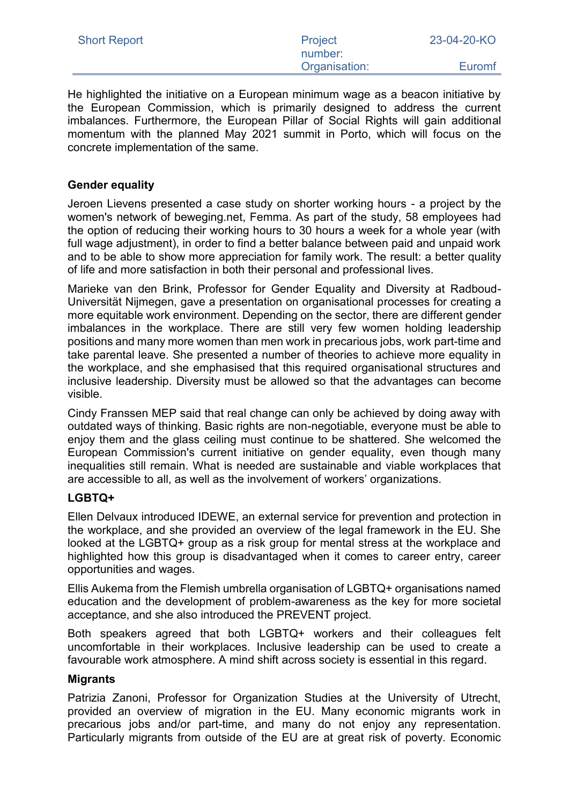| <b>Short Report</b> | Project       | 23-04-20-KO |
|---------------------|---------------|-------------|
|                     | number:       |             |
|                     | Organisation: | Euromf      |

He highlighted the initiative on a European minimum wage as a beacon initiative by the European Commission, which is primarily designed to address the current imbalances. Furthermore, the European Pillar of Social Rights will gain additional momentum with the planned May 2021 summit in Porto, which will focus on the concrete implementation of the same.

## **Gender equality**

Jeroen Lievens presented a case study on shorter working hours - a project by the women's network of beweging.net, Femma. As part of the study, 58 employees had the option of reducing their working hours to 30 hours a week for a whole year (with full wage adjustment), in order to find a better balance between paid and unpaid work and to be able to show more appreciation for family work. The result: a better quality of life and more satisfaction in both their personal and professional lives.

Marieke van den Brink, Professor for Gender Equality and Diversity at Radboud-Universität Nijmegen, gave a presentation on organisational processes for creating a more equitable work environment. Depending on the sector, there are different gender imbalances in the workplace. There are still very few women holding leadership positions and many more women than men work in precarious jobs, work part-time and take parental leave. She presented a number of theories to achieve more equality in the workplace, and she emphasised that this required organisational structures and inclusive leadership. Diversity must be allowed so that the advantages can become visible.

Cindy Franssen MEP said that real change can only be achieved by doing away with outdated ways of thinking. Basic rights are non-negotiable, everyone must be able to enjoy them and the glass ceiling must continue to be shattered. She welcomed the European Commission's current initiative on gender equality, even though many inequalities still remain. What is needed are sustainable and viable workplaces that are accessible to all, as well as the involvement of workers' organizations.

### **LGBTQ+**

Ellen Delvaux introduced IDEWE, an external service for prevention and protection in the workplace, and she provided an overview of the legal framework in the EU. She looked at the LGBTQ+ group as a risk group for mental stress at the workplace and highlighted how this group is disadvantaged when it comes to career entry, career opportunities and wages.

Ellis Aukema from the Flemish umbrella organisation of LGBTQ+ organisations named education and the development of problem-awareness as the key for more societal acceptance, and she also introduced the PREVENT project.

Both speakers agreed that both LGBTQ+ workers and their colleagues felt uncomfortable in their workplaces. Inclusive leadership can be used to create a favourable work atmosphere. A mind shift across society is essential in this regard.

## **Migrants**

Patrizia Zanoni, Professor for Organization Studies at the University of Utrecht, provided an overview of migration in the EU. Many economic migrants work in precarious jobs and/or part-time, and many do not enjoy any representation. Particularly migrants from outside of the EU are at great risk of poverty. Economic